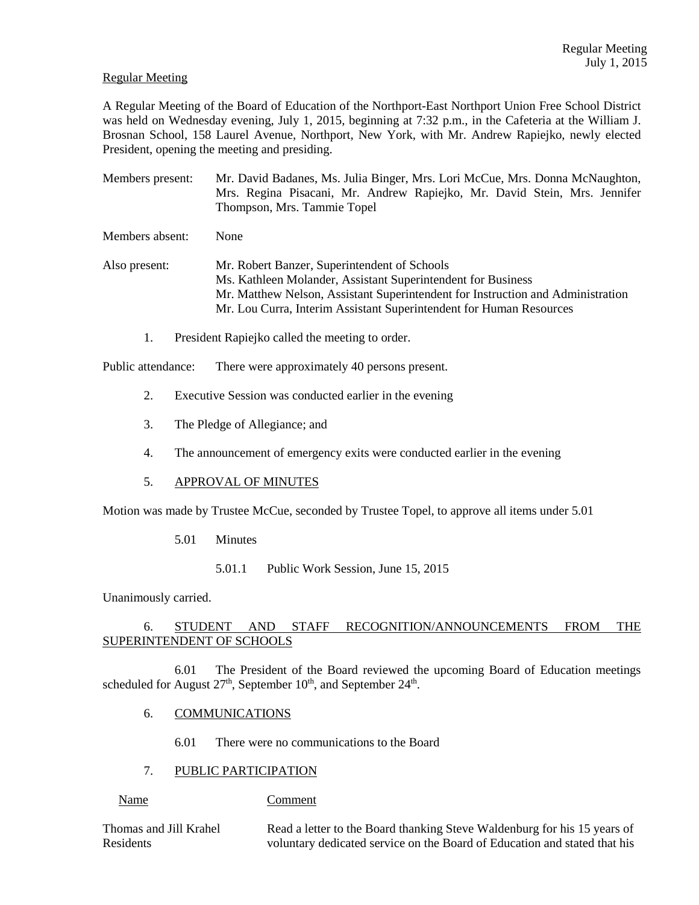# Regular Meeting

A Regular Meeting of the Board of Education of the Northport-East Northport Union Free School District was held on Wednesday evening, July 1, 2015, beginning at 7:32 p.m., in the Cafeteria at the William J. Brosnan School, 158 Laurel Avenue, Northport, New York, with Mr. Andrew Rapiejko, newly elected President, opening the meeting and presiding.

Members present: Mr. David Badanes, Ms. Julia Binger, Mrs. Lori McCue, Mrs. Donna McNaughton, Mrs. Regina Pisacani, Mr. Andrew Rapiejko, Mr. David Stein, Mrs. Jennifer Thompson, Mrs. Tammie Topel

Members absent: None

Also present: Mr. Robert Banzer, Superintendent of Schools Ms. Kathleen Molander, Assistant Superintendent for Business Mr. Matthew Nelson, Assistant Superintendent for Instruction and Administration Mr. Lou Curra, Interim Assistant Superintendent for Human Resources

1. President Rapiejko called the meeting to order.

Public attendance: There were approximately 40 persons present.

- 2. Executive Session was conducted earlier in the evening
- 3. The Pledge of Allegiance; and
- 4. The announcement of emergency exits were conducted earlier in the evening
- 5. APPROVAL OF MINUTES

Motion was made by Trustee McCue, seconded by Trustee Topel, to approve all items under 5.01

- 5.01 Minutes
	- 5.01.1 Public Work Session, June 15, 2015

Unanimously carried.

# 6. STUDENT AND STAFF RECOGNITION/ANNOUNCEMENTS FROM THE SUPERINTENDENT OF SCHOOLS

 6.01 The President of the Board reviewed the upcoming Board of Education meetings scheduled for August  $27<sup>th</sup>$ , September  $10<sup>th</sup>$ , and September  $24<sup>th</sup>$ .

# 6. COMMUNICATIONS

6.01 There were no communications to the Board

# 7. PUBLIC PARTICIPATION

Name Comment

Thomas and Jill Krahel Read a letter to the Board thanking Steve Waldenburg for his 15 years of Residents voluntary dedicated service on the Board of Education and stated that his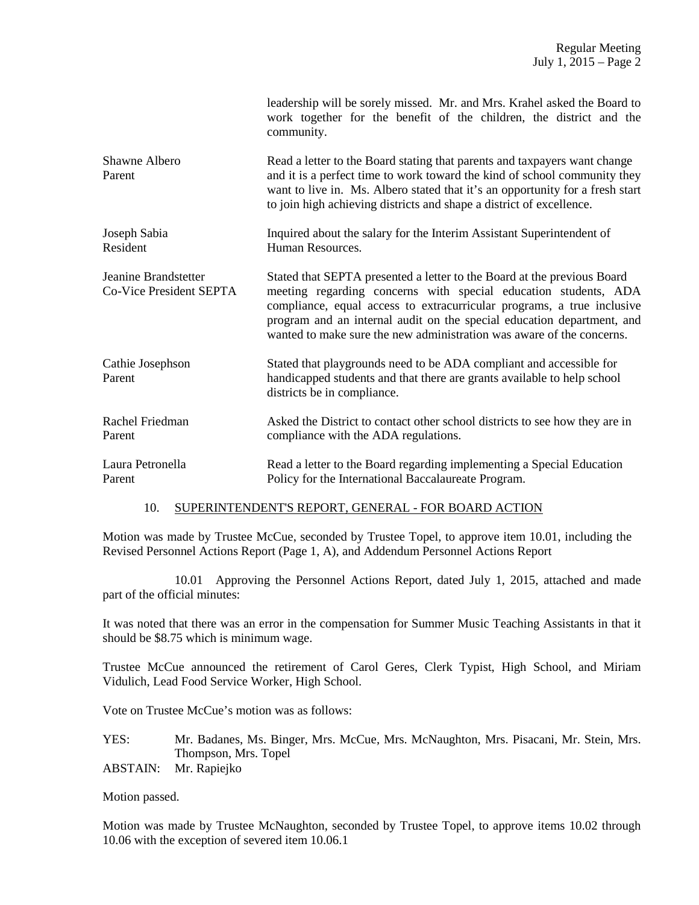|                                                 | leadership will be sorely missed. Mr. and Mrs. Krahel asked the Board to<br>work together for the benefit of the children, the district and the<br>community.                                                                                                                                                                                                           |
|-------------------------------------------------|-------------------------------------------------------------------------------------------------------------------------------------------------------------------------------------------------------------------------------------------------------------------------------------------------------------------------------------------------------------------------|
| Shawne Albero<br>Parent                         | Read a letter to the Board stating that parents and taxpayers want change<br>and it is a perfect time to work toward the kind of school community they<br>want to live in. Ms. Albero stated that it's an opportunity for a fresh start<br>to join high achieving districts and shape a district of excellence.                                                         |
| Joseph Sabia<br>Resident                        | Inquired about the salary for the Interim Assistant Superintendent of<br>Human Resources.                                                                                                                                                                                                                                                                               |
| Jeanine Brandstetter<br>Co-Vice President SEPTA | Stated that SEPTA presented a letter to the Board at the previous Board<br>meeting regarding concerns with special education students, ADA<br>compliance, equal access to extracurricular programs, a true inclusive<br>program and an internal audit on the special education department, and<br>wanted to make sure the new administration was aware of the concerns. |
| Cathie Josephson<br>Parent                      | Stated that playgrounds need to be ADA compliant and accessible for<br>handicapped students and that there are grants available to help school<br>districts be in compliance.                                                                                                                                                                                           |
| Rachel Friedman<br>Parent                       | Asked the District to contact other school districts to see how they are in<br>compliance with the ADA regulations.                                                                                                                                                                                                                                                     |
| Laura Petronella<br>Parent                      | Read a letter to the Board regarding implementing a Special Education<br>Policy for the International Baccalaureate Program.                                                                                                                                                                                                                                            |

## 10. SUPERINTENDENT'S REPORT, GENERAL - FOR BOARD ACTION

Motion was made by Trustee McCue, seconded by Trustee Topel, to approve item 10.01, including the Revised Personnel Actions Report (Page 1, A), and Addendum Personnel Actions Report

 10.01 Approving the Personnel Actions Report, dated July 1, 2015, attached and made part of the official minutes:

It was noted that there was an error in the compensation for Summer Music Teaching Assistants in that it should be \$8.75 which is minimum wage.

Trustee McCue announced the retirement of Carol Geres, Clerk Typist, High School, and Miriam Vidulich, Lead Food Service Worker, High School.

Vote on Trustee McCue's motion was as follows:

YES: Mr. Badanes, Ms. Binger, Mrs. McCue, Mrs. McNaughton, Mrs. Pisacani, Mr. Stein, Mrs. Thompson, Mrs. Topel

ABSTAIN: Mr. Rapiejko

Motion passed.

Motion was made by Trustee McNaughton, seconded by Trustee Topel, to approve items 10.02 through 10.06 with the exception of severed item 10.06.1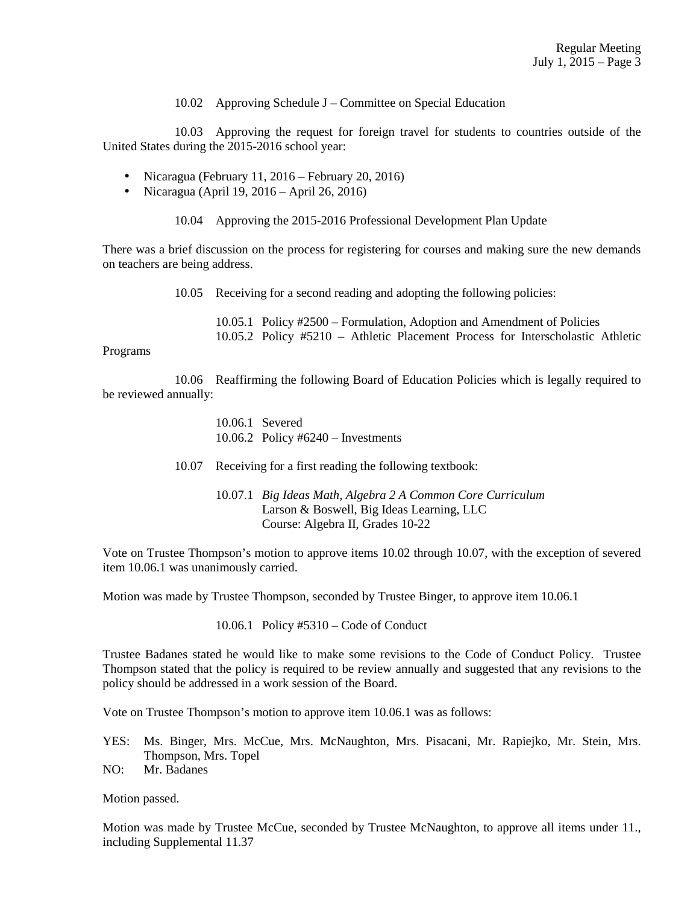10.02 Approving Schedule J – Committee on Special Education

 10.03 Approving the request for foreign travel for students to countries outside of the United States during the 2015-2016 school year:

- Nicaragua (February 11, 2016 February 20, 2016)
- Nicaragua (April 19, 2016 April 26, 2016)

10.04 Approving the 2015-2016 Professional Development Plan Update

There was a brief discussion on the process for registering for courses and making sure the new demands on teachers are being address.

10.05 Receiving for a second reading and adopting the following policies:

 10.05.1 Policy #2500 – Formulation, Adoption and Amendment of Policies 10.05.2 Policy #5210 – Athletic Placement Process for Interscholastic Athletic

## Programs

 10.06 Reaffirming the following Board of Education Policies which is legally required to be reviewed annually:

- 10.06.1 Severed 10.06.2 Policy #6240 – Investments
- 10.07 Receiving for a first reading the following textbook:
	- 10.07.1 *Big Ideas Math, Algebra 2 A Common Core Curriculum* Larson & Boswell, Big Ideas Learning, LLC Course: Algebra II, Grades 10-22

Vote on Trustee Thompson's motion to approve items 10.02 through 10.07, with the exception of severed item 10.06.1 was unanimously carried.

Motion was made by Trustee Thompson, seconded by Trustee Binger, to approve item 10.06.1

10.06.1 Policy #5310 – Code of Conduct

Trustee Badanes stated he would like to make some revisions to the Code of Conduct Policy. Trustee Thompson stated that the policy is required to be review annually and suggested that any revisions to the policy should be addressed in a work session of the Board.

Vote on Trustee Thompson's motion to approve item 10.06.1 was as follows:

- YES: Ms. Binger, Mrs. McCue, Mrs. McNaughton, Mrs. Pisacani, Mr. Rapiejko, Mr. Stein, Mrs. Thompson, Mrs. Topel
- NO: Mr. Badanes

Motion passed.

Motion was made by Trustee McCue, seconded by Trustee McNaughton, to approve all items under 11., including Supplemental 11.37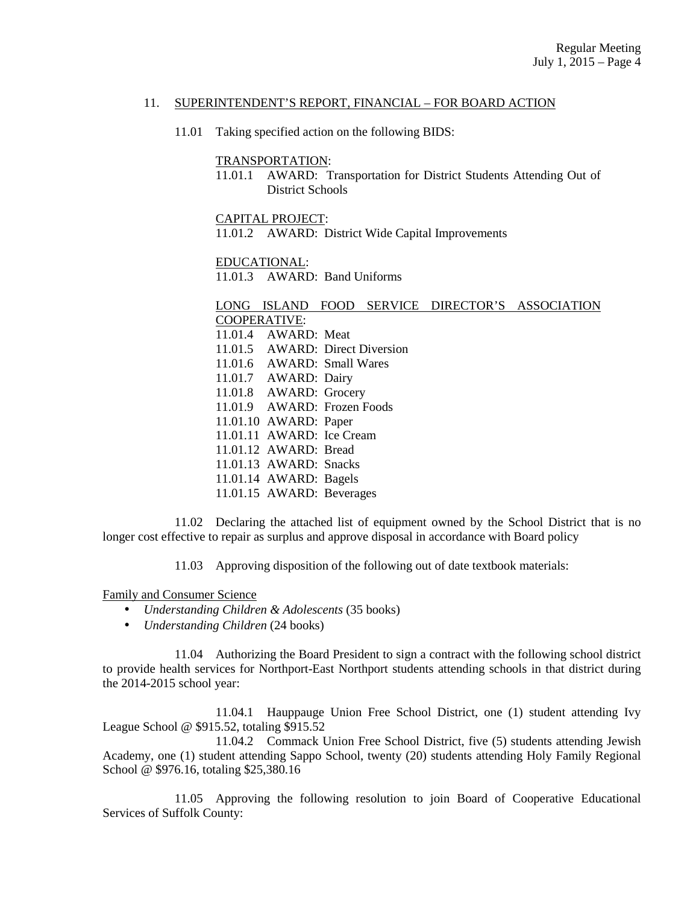## 11. SUPERINTENDENT'S REPORT, FINANCIAL – FOR BOARD ACTION

11.01 Taking specified action on the following BIDS:

## TRANSPORTATION:

 11.01.1 AWARD: Transportation for District Students Attending Out of District Schools

### CAPITAL PROJECT:

11.01.2 AWARD: District Wide Capital Improvements

## EDUCATIONAL:

11.01.3 AWARD: Band Uniforms

# LONG ISLAND FOOD SERVICE DIRECTOR'S ASSOCIATION COOPERATIVE:

 11.01.4 AWARD: Meat 11.01.5 AWARD: Direct Diversion 11.01.6 AWARD: Small Wares 11.01.7 AWARD: Dairy 11.01.8 AWARD: Grocery 11.01.9 AWARD: Frozen Foods 11.01.10 AWARD: Paper 11.01.11 AWARD: Ice Cream 11.01.12 AWARD: Bread 11.01.13 AWARD: Snacks 11.01.14 AWARD: Bagels 11.01.15 AWARD: Beverages

 11.02 Declaring the attached list of equipment owned by the School District that is no longer cost effective to repair as surplus and approve disposal in accordance with Board policy

11.03 Approving disposition of the following out of date textbook materials:

## Family and Consumer Science

- *Understanding Children & Adolescents* (35 books)
- *Understanding Children* (24 books)

 11.04 Authorizing the Board President to sign a contract with the following school district to provide health services for Northport-East Northport students attending schools in that district during the 2014-2015 school year:

 11.04.1 Hauppauge Union Free School District, one (1) student attending Ivy League School @ \$915.52, totaling \$915.52

 11.04.2 Commack Union Free School District, five (5) students attending Jewish Academy, one (1) student attending Sappo School, twenty (20) students attending Holy Family Regional School @ \$976.16, totaling \$25,380.16

 11.05 Approving the following resolution to join Board of Cooperative Educational Services of Suffolk County: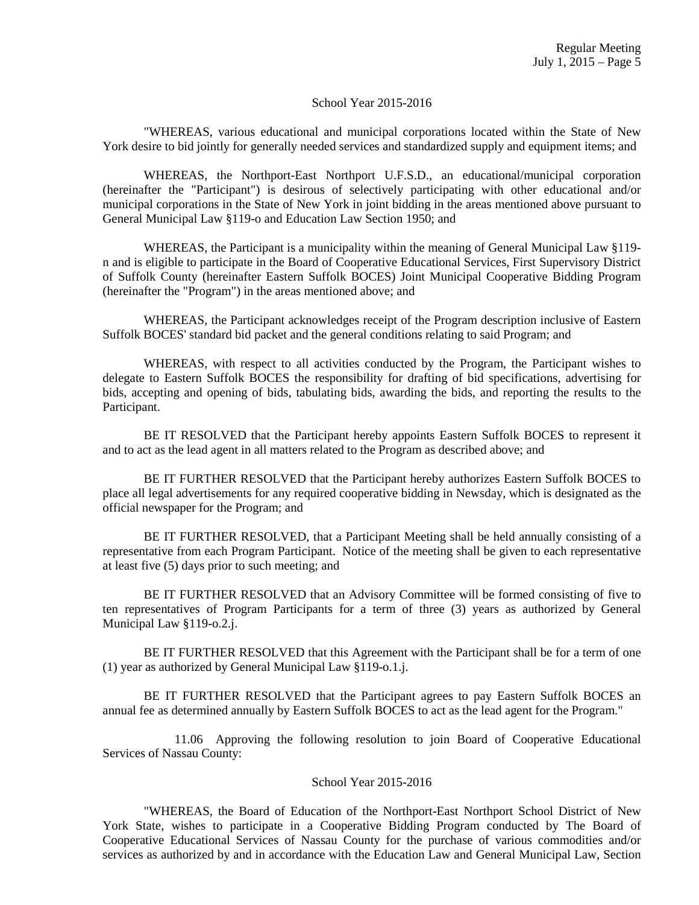## School Year 2015-2016

 "WHEREAS, various educational and municipal corporations located within the State of New York desire to bid jointly for generally needed services and standardized supply and equipment items; and

 WHEREAS, the Northport-East Northport U.F.S.D., an educational/municipal corporation (hereinafter the "Participant") is desirous of selectively participating with other educational and/or municipal corporations in the State of New York in joint bidding in the areas mentioned above pursuant to General Municipal Law §119-o and Education Law Section 1950; and

 WHEREAS, the Participant is a municipality within the meaning of General Municipal Law §119 n and is eligible to participate in the Board of Cooperative Educational Services, First Supervisory District of Suffolk County (hereinafter Eastern Suffolk BOCES) Joint Municipal Cooperative Bidding Program (hereinafter the "Program") in the areas mentioned above; and

 WHEREAS, the Participant acknowledges receipt of the Program description inclusive of Eastern Suffolk BOCES' standard bid packet and the general conditions relating to said Program; and

 WHEREAS, with respect to all activities conducted by the Program, the Participant wishes to delegate to Eastern Suffolk BOCES the responsibility for drafting of bid specifications, advertising for bids, accepting and opening of bids, tabulating bids, awarding the bids, and reporting the results to the Participant.

 BE IT RESOLVED that the Participant hereby appoints Eastern Suffolk BOCES to represent it and to act as the lead agent in all matters related to the Program as described above; and

 BE IT FURTHER RESOLVED that the Participant hereby authorizes Eastern Suffolk BOCES to place all legal advertisements for any required cooperative bidding in Newsday, which is designated as the official newspaper for the Program; and

 BE IT FURTHER RESOLVED, that a Participant Meeting shall be held annually consisting of a representative from each Program Participant. Notice of the meeting shall be given to each representative at least five (5) days prior to such meeting; and

 BE IT FURTHER RESOLVED that an Advisory Committee will be formed consisting of five to ten representatives of Program Participants for a term of three (3) years as authorized by General Municipal Law §119-o.2.j.

 BE IT FURTHER RESOLVED that this Agreement with the Participant shall be for a term of one (1) year as authorized by General Municipal Law §119-o.1.j.

 BE IT FURTHER RESOLVED that the Participant agrees to pay Eastern Suffolk BOCES an annual fee as determined annually by Eastern Suffolk BOCES to act as the lead agent for the Program."

 11.06 Approving the following resolution to join Board of Cooperative Educational Services of Nassau County:

## School Year 2015-2016

 "WHEREAS, the Board of Education of the Northport-East Northport School District of New York State, wishes to participate in a Cooperative Bidding Program conducted by The Board of Cooperative Educational Services of Nassau County for the purchase of various commodities and/or services as authorized by and in accordance with the Education Law and General Municipal Law, Section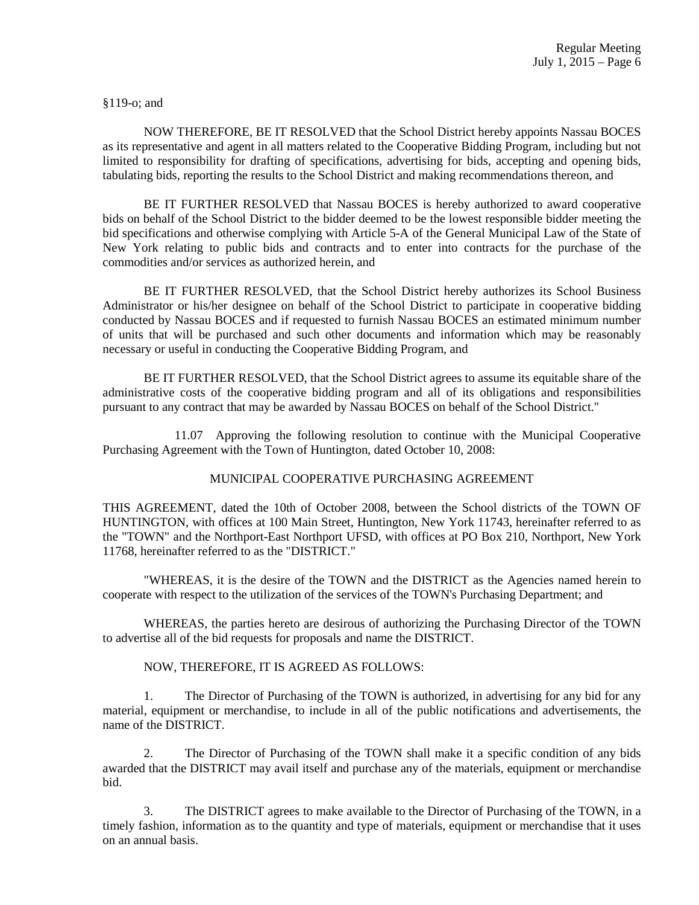§119-o; and

 NOW THEREFORE, BE IT RESOLVED that the School District hereby appoints Nassau BOCES as its representative and agent in all matters related to the Cooperative Bidding Program, including but not limited to responsibility for drafting of specifications, advertising for bids, accepting and opening bids, tabulating bids, reporting the results to the School District and making recommendations thereon, and

 BE IT FURTHER RESOLVED that Nassau BOCES is hereby authorized to award cooperative bids on behalf of the School District to the bidder deemed to be the lowest responsible bidder meeting the bid specifications and otherwise complying with Article 5-A of the General Municipal Law of the State of New York relating to public bids and contracts and to enter into contracts for the purchase of the commodities and/or services as authorized herein, and

 BE IT FURTHER RESOLVED, that the School District hereby authorizes its School Business Administrator or his/her designee on behalf of the School District to participate in cooperative bidding conducted by Nassau BOCES and if requested to furnish Nassau BOCES an estimated minimum number of units that will be purchased and such other documents and information which may be reasonably necessary or useful in conducting the Cooperative Bidding Program, and

 BE IT FURTHER RESOLVED, that the School District agrees to assume its equitable share of the administrative costs of the cooperative bidding program and all of its obligations and responsibilities pursuant to any contract that may be awarded by Nassau BOCES on behalf of the School District."

 11.07 Approving the following resolution to continue with the Municipal Cooperative Purchasing Agreement with the Town of Huntington, dated October 10, 2008:

# MUNICIPAL COOPERATIVE PURCHASING AGREEMENT

THIS AGREEMENT, dated the 10th of October 2008, between the School districts of the TOWN OF HUNTINGTON, with offices at 100 Main Street, Huntington, New York 11743, hereinafter referred to as the "TOWN" and the Northport-East Northport UFSD, with offices at PO Box 210, Northport, New York 11768, hereinafter referred to as the "DISTRICT."

"WHEREAS, it is the desire of the TOWN and the DISTRICT as the Agencies named herein to cooperate with respect to the utilization of the services of the TOWN's Purchasing Department; and

WHEREAS, the parties hereto are desirous of authorizing the Purchasing Director of the TOWN to advertise all of the bid requests for proposals and name the DISTRICT.

# NOW, THEREFORE, IT IS AGREED AS FOLLOWS:

1. The Director of Purchasing of the TOWN is authorized, in advertising for any bid for any material, equipment or merchandise, to include in all of the public notifications and advertisements, the name of the DISTRICT.

2. The Director of Purchasing of the TOWN shall make it a specific condition of any bids awarded that the DISTRICT may avail itself and purchase any of the materials, equipment or merchandise bid.

3. The DISTRICT agrees to make available to the Director of Purchasing of the TOWN, in a timely fashion, information as to the quantity and type of materials, equipment or merchandise that it uses on an annual basis.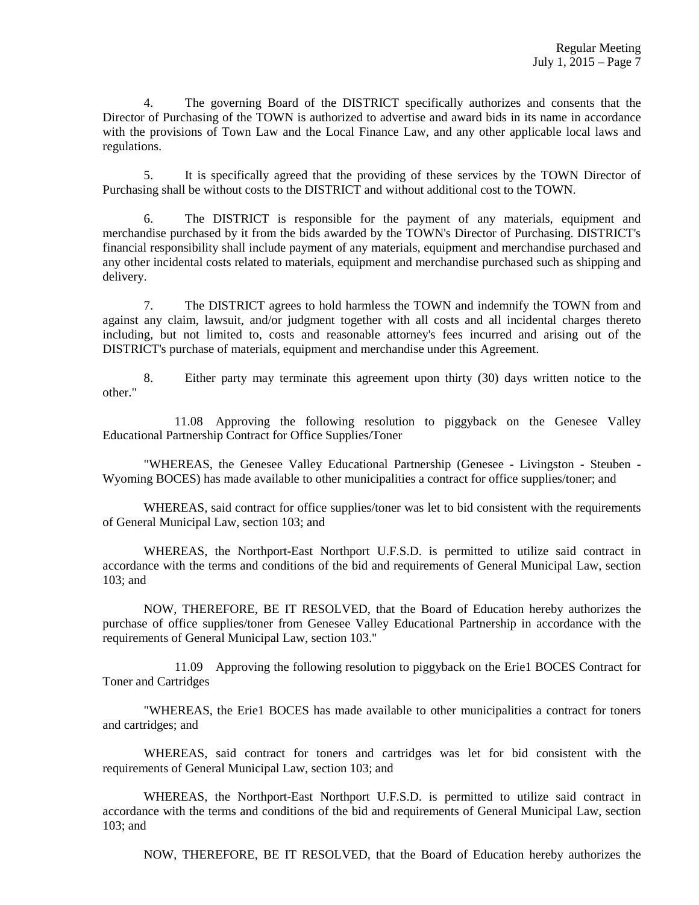4. The governing Board of the DISTRICT specifically authorizes and consents that the Director of Purchasing of the TOWN is authorized to advertise and award bids in its name in accordance with the provisions of Town Law and the Local Finance Law, and any other applicable local laws and regulations.

5. It is specifically agreed that the providing of these services by the TOWN Director of Purchasing shall be without costs to the DISTRICT and without additional cost to the TOWN.

6. The DISTRICT is responsible for the payment of any materials, equipment and merchandise purchased by it from the bids awarded by the TOWN's Director of Purchasing. DISTRICT's financial responsibility shall include payment of any materials, equipment and merchandise purchased and any other incidental costs related to materials, equipment and merchandise purchased such as shipping and delivery.

7. The DISTRICT agrees to hold harmless the TOWN and indemnify the TOWN from and against any claim, lawsuit, and/or judgment together with all costs and all incidental charges thereto including, but not limited to, costs and reasonable attorney's fees incurred and arising out of the DISTRICT's purchase of materials, equipment and merchandise under this Agreement.

8. Either party may terminate this agreement upon thirty (30) days written notice to the other."

 11.08 Approving the following resolution to piggyback on the Genesee Valley Educational Partnership Contract for Office Supplies/Toner

 "WHEREAS, the Genesee Valley Educational Partnership (Genesee - Livingston - Steuben - Wyoming BOCES) has made available to other municipalities a contract for office supplies/toner; and

 WHEREAS, said contract for office supplies/toner was let to bid consistent with the requirements of General Municipal Law, section 103; and

 WHEREAS, the Northport-East Northport U.F.S.D. is permitted to utilize said contract in accordance with the terms and conditions of the bid and requirements of General Municipal Law, section 103; and

 NOW, THEREFORE, BE IT RESOLVED, that the Board of Education hereby authorizes the purchase of office supplies/toner from Genesee Valley Educational Partnership in accordance with the requirements of General Municipal Law, section 103."

 11.09 Approving the following resolution to piggyback on the Erie1 BOCES Contract for Toner and Cartridges

 "WHEREAS, the Erie1 BOCES has made available to other municipalities a contract for toners and cartridges; and

 WHEREAS, said contract for toners and cartridges was let for bid consistent with the requirements of General Municipal Law, section 103; and

 WHEREAS, the Northport-East Northport U.F.S.D. is permitted to utilize said contract in accordance with the terms and conditions of the bid and requirements of General Municipal Law, section 103; and

NOW, THEREFORE, BE IT RESOLVED, that the Board of Education hereby authorizes the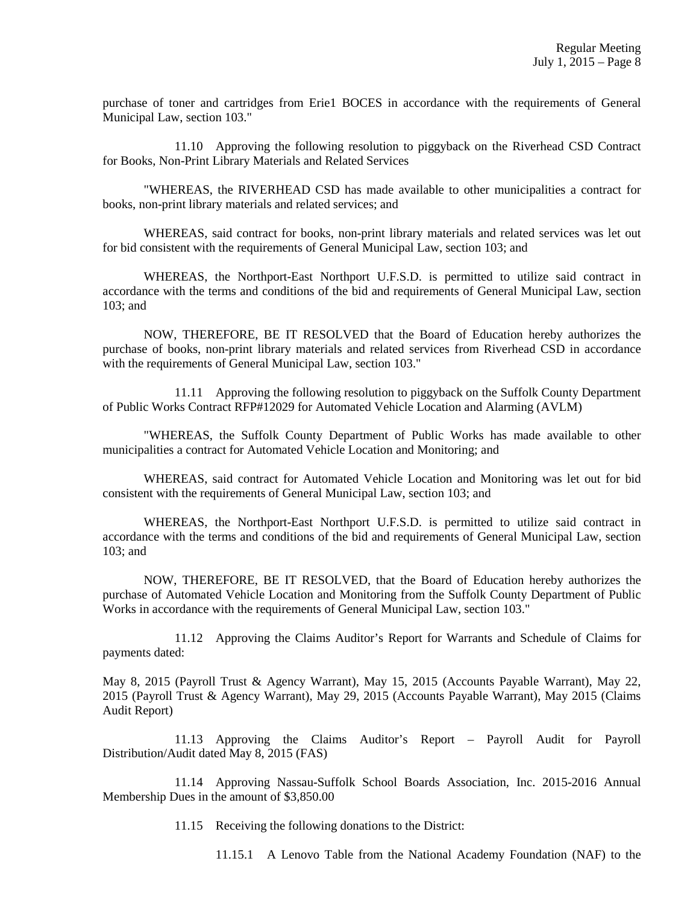purchase of toner and cartridges from Erie1 BOCES in accordance with the requirements of General Municipal Law, section 103."

 11.10 Approving the following resolution to piggyback on the Riverhead CSD Contract for Books, Non-Print Library Materials and Related Services

 "WHEREAS, the RIVERHEAD CSD has made available to other municipalities a contract for books, non-print library materials and related services; and

 WHEREAS, said contract for books, non-print library materials and related services was let out for bid consistent with the requirements of General Municipal Law, section 103; and

 WHEREAS, the Northport-East Northport U.F.S.D. is permitted to utilize said contract in accordance with the terms and conditions of the bid and requirements of General Municipal Law, section 103; and

 NOW, THEREFORE, BE IT RESOLVED that the Board of Education hereby authorizes the purchase of books, non-print library materials and related services from Riverhead CSD in accordance with the requirements of General Municipal Law, section 103."

 11.11 Approving the following resolution to piggyback on the Suffolk County Department of Public Works Contract RFP#12029 for Automated Vehicle Location and Alarming (AVLM)

 "WHEREAS, the Suffolk County Department of Public Works has made available to other municipalities a contract for Automated Vehicle Location and Monitoring; and

 WHEREAS, said contract for Automated Vehicle Location and Monitoring was let out for bid consistent with the requirements of General Municipal Law, section 103; and

 WHEREAS, the Northport-East Northport U.F.S.D. is permitted to utilize said contract in accordance with the terms and conditions of the bid and requirements of General Municipal Law, section 103; and

 NOW, THEREFORE, BE IT RESOLVED, that the Board of Education hereby authorizes the purchase of Automated Vehicle Location and Monitoring from the Suffolk County Department of Public Works in accordance with the requirements of General Municipal Law, section 103."

 11.12 Approving the Claims Auditor's Report for Warrants and Schedule of Claims for payments dated:

May 8, 2015 (Payroll Trust & Agency Warrant), May 15, 2015 (Accounts Payable Warrant), May 22, 2015 (Payroll Trust & Agency Warrant), May 29, 2015 (Accounts Payable Warrant), May 2015 (Claims Audit Report)

 11.13 Approving the Claims Auditor's Report – Payroll Audit for Payroll Distribution/Audit dated May 8, 2015 (FAS)

 11.14 Approving Nassau-Suffolk School Boards Association, Inc. 2015-2016 Annual Membership Dues in the amount of \$3,850.00

11.15 Receiving the following donations to the District:

11.15.1 A Lenovo Table from the National Academy Foundation (NAF) to the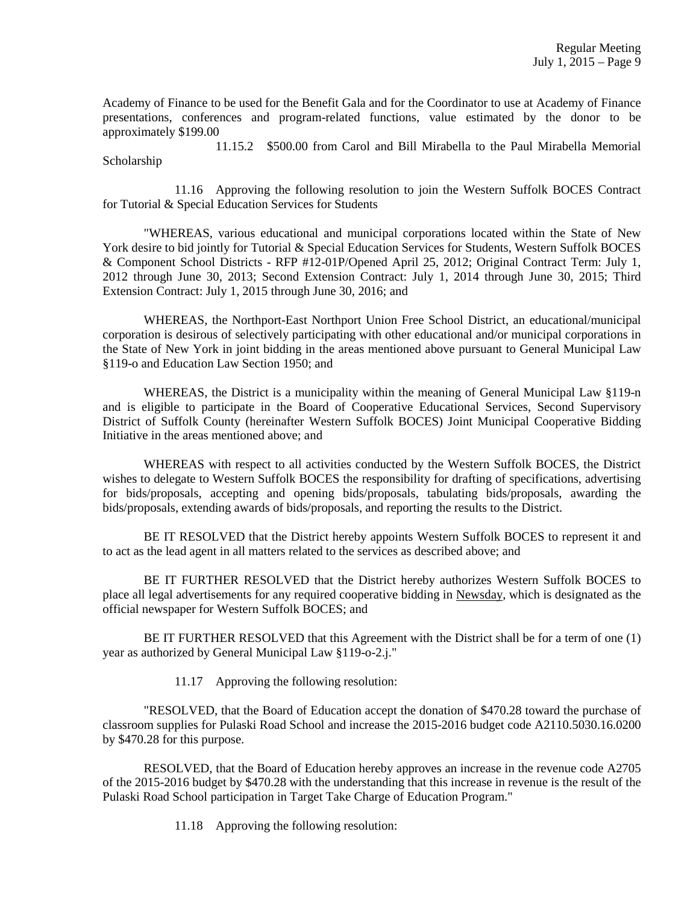Academy of Finance to be used for the Benefit Gala and for the Coordinator to use at Academy of Finance presentations, conferences and program-related functions, value estimated by the donor to be approximately \$199.00

 11.15.2 \$500.00 from Carol and Bill Mirabella to the Paul Mirabella Memorial Scholarship

 11.16 Approving the following resolution to join the Western Suffolk BOCES Contract for Tutorial & Special Education Services for Students

 "WHEREAS, various educational and municipal corporations located within the State of New York desire to bid jointly for Tutorial & Special Education Services for Students, Western Suffolk BOCES & Component School Districts - RFP #12-01P/Opened April 25, 2012; Original Contract Term: July 1, 2012 through June 30, 2013; Second Extension Contract: July 1, 2014 through June 30, 2015; Third Extension Contract: July 1, 2015 through June 30, 2016; and

 WHEREAS, the Northport-East Northport Union Free School District, an educational/municipal corporation is desirous of selectively participating with other educational and/or municipal corporations in the State of New York in joint bidding in the areas mentioned above pursuant to General Municipal Law §119-o and Education Law Section 1950; and

 WHEREAS, the District is a municipality within the meaning of General Municipal Law §119-n and is eligible to participate in the Board of Cooperative Educational Services, Second Supervisory District of Suffolk County (hereinafter Western Suffolk BOCES) Joint Municipal Cooperative Bidding Initiative in the areas mentioned above; and

 WHEREAS with respect to all activities conducted by the Western Suffolk BOCES, the District wishes to delegate to Western Suffolk BOCES the responsibility for drafting of specifications, advertising for bids/proposals, accepting and opening bids/proposals, tabulating bids/proposals, awarding the bids/proposals, extending awards of bids/proposals, and reporting the results to the District.

 BE IT RESOLVED that the District hereby appoints Western Suffolk BOCES to represent it and to act as the lead agent in all matters related to the services as described above; and

 BE IT FURTHER RESOLVED that the District hereby authorizes Western Suffolk BOCES to place all legal advertisements for any required cooperative bidding in Newsday, which is designated as the official newspaper for Western Suffolk BOCES; and

 BE IT FURTHER RESOLVED that this Agreement with the District shall be for a term of one (1) year as authorized by General Municipal Law §119-o-2.j."

11.17 Approving the following resolution:

 "RESOLVED, that the Board of Education accept the donation of \$470.28 toward the purchase of classroom supplies for Pulaski Road School and increase the 2015-2016 budget code A2110.5030.16.0200 by \$470.28 for this purpose.

 RESOLVED, that the Board of Education hereby approves an increase in the revenue code A2705 of the 2015-2016 budget by \$470.28 with the understanding that this increase in revenue is the result of the Pulaski Road School participation in Target Take Charge of Education Program."

11.18 Approving the following resolution: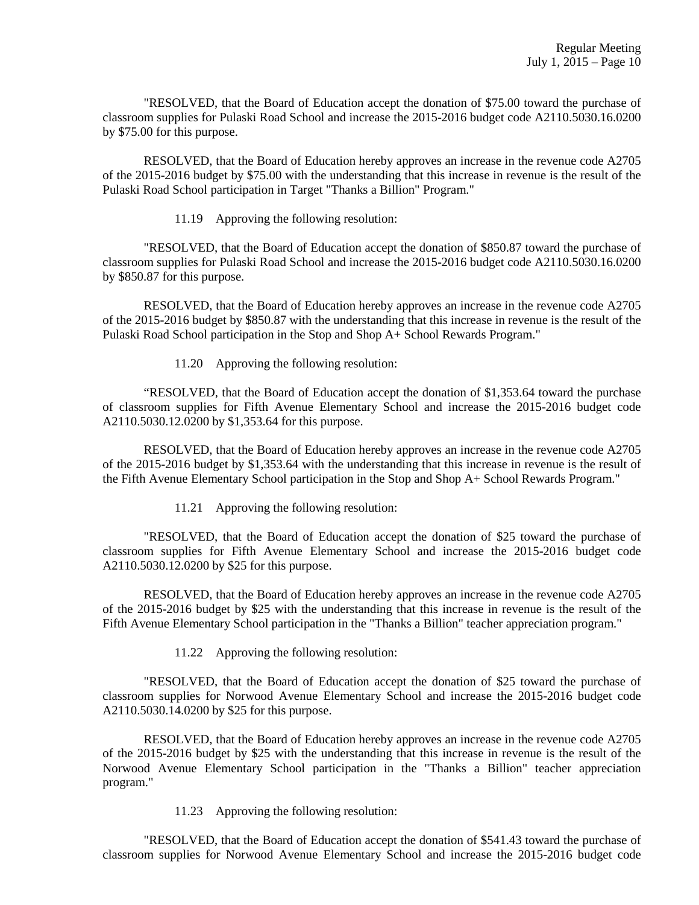"RESOLVED, that the Board of Education accept the donation of \$75.00 toward the purchase of classroom supplies for Pulaski Road School and increase the 2015-2016 budget code A2110.5030.16.0200 by \$75.00 for this purpose.

 RESOLVED, that the Board of Education hereby approves an increase in the revenue code A2705 of the 2015-2016 budget by \$75.00 with the understanding that this increase in revenue is the result of the Pulaski Road School participation in Target "Thanks a Billion" Program."

11.19 Approving the following resolution:

 "RESOLVED, that the Board of Education accept the donation of \$850.87 toward the purchase of classroom supplies for Pulaski Road School and increase the 2015-2016 budget code A2110.5030.16.0200 by \$850.87 for this purpose.

 RESOLVED, that the Board of Education hereby approves an increase in the revenue code A2705 of the 2015-2016 budget by \$850.87 with the understanding that this increase in revenue is the result of the Pulaski Road School participation in the Stop and Shop A+ School Rewards Program."

11.20 Approving the following resolution:

 "RESOLVED, that the Board of Education accept the donation of \$1,353.64 toward the purchase of classroom supplies for Fifth Avenue Elementary School and increase the 2015-2016 budget code A2110.5030.12.0200 by \$1,353.64 for this purpose.

 RESOLVED, that the Board of Education hereby approves an increase in the revenue code A2705 of the 2015-2016 budget by \$1,353.64 with the understanding that this increase in revenue is the result of the Fifth Avenue Elementary School participation in the Stop and Shop A+ School Rewards Program."

11.21 Approving the following resolution:

 "RESOLVED, that the Board of Education accept the donation of \$25 toward the purchase of classroom supplies for Fifth Avenue Elementary School and increase the 2015-2016 budget code A2110.5030.12.0200 by \$25 for this purpose.

 RESOLVED, that the Board of Education hereby approves an increase in the revenue code A2705 of the 2015-2016 budget by \$25 with the understanding that this increase in revenue is the result of the Fifth Avenue Elementary School participation in the "Thanks a Billion" teacher appreciation program."

11.22 Approving the following resolution:

 "RESOLVED, that the Board of Education accept the donation of \$25 toward the purchase of classroom supplies for Norwood Avenue Elementary School and increase the 2015-2016 budget code A2110.5030.14.0200 by \$25 for this purpose.

 RESOLVED, that the Board of Education hereby approves an increase in the revenue code A2705 of the 2015-2016 budget by \$25 with the understanding that this increase in revenue is the result of the Norwood Avenue Elementary School participation in the "Thanks a Billion" teacher appreciation program."

11.23 Approving the following resolution:

 "RESOLVED, that the Board of Education accept the donation of \$541.43 toward the purchase of classroom supplies for Norwood Avenue Elementary School and increase the 2015-2016 budget code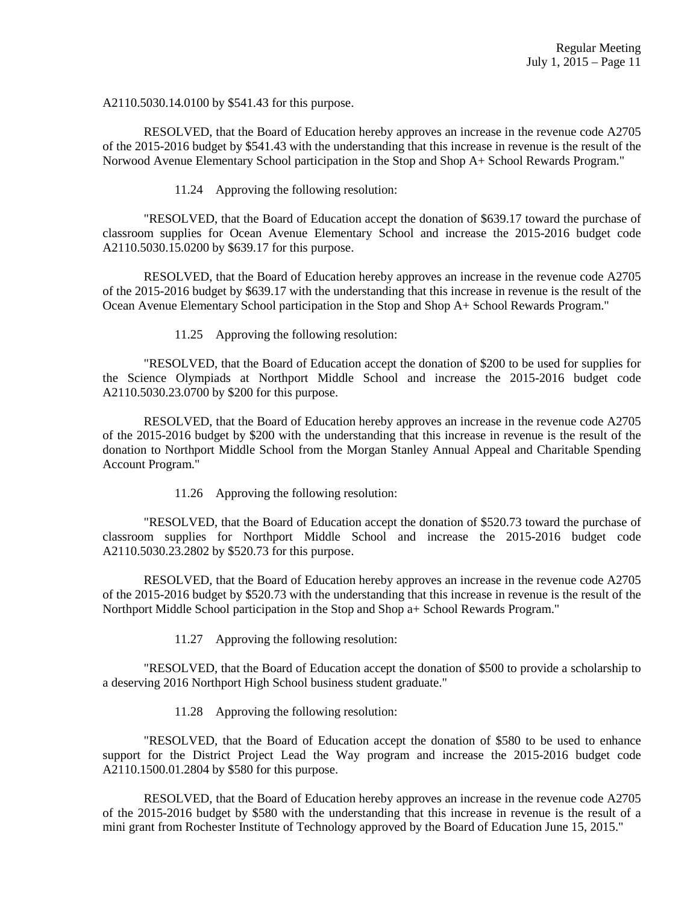A2110.5030.14.0100 by \$541.43 for this purpose.

 RESOLVED, that the Board of Education hereby approves an increase in the revenue code A2705 of the 2015-2016 budget by \$541.43 with the understanding that this increase in revenue is the result of the Norwood Avenue Elementary School participation in the Stop and Shop A+ School Rewards Program."

11.24 Approving the following resolution:

 "RESOLVED, that the Board of Education accept the donation of \$639.17 toward the purchase of classroom supplies for Ocean Avenue Elementary School and increase the 2015-2016 budget code A2110.5030.15.0200 by \$639.17 for this purpose.

 RESOLVED, that the Board of Education hereby approves an increase in the revenue code A2705 of the 2015-2016 budget by \$639.17 with the understanding that this increase in revenue is the result of the Ocean Avenue Elementary School participation in the Stop and Shop A+ School Rewards Program."

11.25 Approving the following resolution:

 "RESOLVED, that the Board of Education accept the donation of \$200 to be used for supplies for the Science Olympiads at Northport Middle School and increase the 2015-2016 budget code A2110.5030.23.0700 by \$200 for this purpose.

 RESOLVED, that the Board of Education hereby approves an increase in the revenue code A2705 of the 2015-2016 budget by \$200 with the understanding that this increase in revenue is the result of the donation to Northport Middle School from the Morgan Stanley Annual Appeal and Charitable Spending Account Program."

11.26 Approving the following resolution:

 "RESOLVED, that the Board of Education accept the donation of \$520.73 toward the purchase of classroom supplies for Northport Middle School and increase the 2015-2016 budget code A2110.5030.23.2802 by \$520.73 for this purpose.

 RESOLVED, that the Board of Education hereby approves an increase in the revenue code A2705 of the 2015-2016 budget by \$520.73 with the understanding that this increase in revenue is the result of the Northport Middle School participation in the Stop and Shop a+ School Rewards Program."

11.27 Approving the following resolution:

 "RESOLVED, that the Board of Education accept the donation of \$500 to provide a scholarship to a deserving 2016 Northport High School business student graduate."

11.28 Approving the following resolution:

 "RESOLVED, that the Board of Education accept the donation of \$580 to be used to enhance support for the District Project Lead the Way program and increase the 2015-2016 budget code A2110.1500.01.2804 by \$580 for this purpose.

 RESOLVED, that the Board of Education hereby approves an increase in the revenue code A2705 of the 2015-2016 budget by \$580 with the understanding that this increase in revenue is the result of a mini grant from Rochester Institute of Technology approved by the Board of Education June 15, 2015."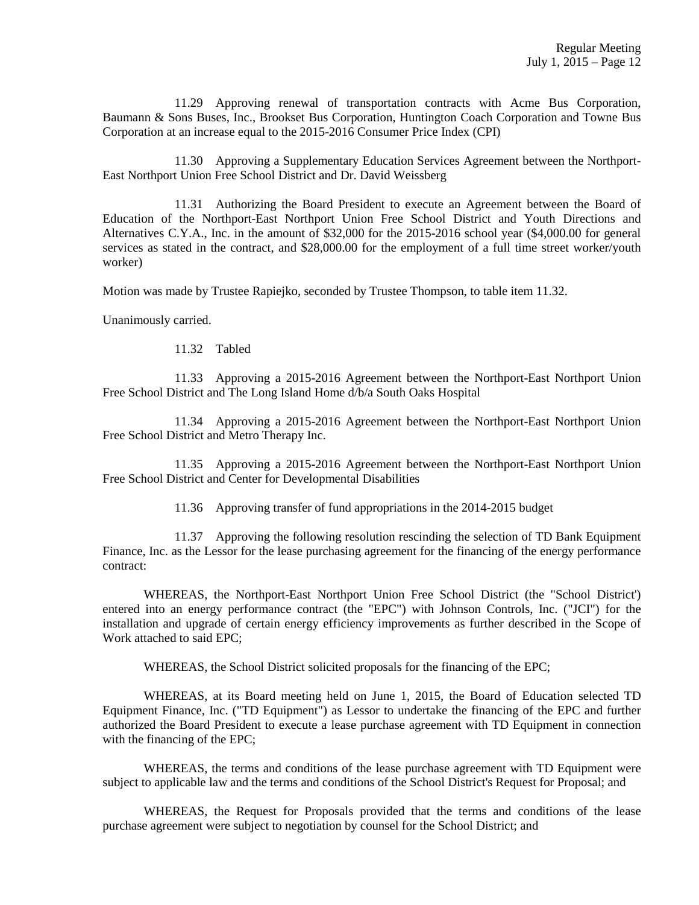11.29 Approving renewal of transportation contracts with Acme Bus Corporation, Baumann & Sons Buses, Inc., Brookset Bus Corporation, Huntington Coach Corporation and Towne Bus Corporation at an increase equal to the 2015-2016 Consumer Price Index (CPI)

 11.30 Approving a Supplementary Education Services Agreement between the Northport-East Northport Union Free School District and Dr. David Weissberg

 11.31 Authorizing the Board President to execute an Agreement between the Board of Education of the Northport-East Northport Union Free School District and Youth Directions and Alternatives C.Y.A., Inc. in the amount of \$32,000 for the 2015-2016 school year (\$4,000.00 for general services as stated in the contract, and \$28,000.00 for the employment of a full time street worker/youth worker)

Motion was made by Trustee Rapiejko, seconded by Trustee Thompson, to table item 11.32.

Unanimously carried.

11.32 Tabled

 11.33 Approving a 2015-2016 Agreement between the Northport-East Northport Union Free School District and The Long Island Home d/b/a South Oaks Hospital

 11.34 Approving a 2015-2016 Agreement between the Northport-East Northport Union Free School District and Metro Therapy Inc.

 11.35 Approving a 2015-2016 Agreement between the Northport-East Northport Union Free School District and Center for Developmental Disabilities

11.36 Approving transfer of fund appropriations in the 2014-2015 budget

 11.37 Approving the following resolution rescinding the selection of TD Bank Equipment Finance, Inc. as the Lessor for the lease purchasing agreement for the financing of the energy performance contract:

 WHEREAS, the Northport-East Northport Union Free School District (the "School District') entered into an energy performance contract (the "EPC") with Johnson Controls, Inc. ("JCI") for the installation and upgrade of certain energy efficiency improvements as further described in the Scope of Work attached to said EPC;

WHEREAS, the School District solicited proposals for the financing of the EPC;

 WHEREAS, at its Board meeting held on June 1, 2015, the Board of Education selected TD Equipment Finance, Inc. ("TD Equipment") as Lessor to undertake the financing of the EPC and further authorized the Board President to execute a lease purchase agreement with TD Equipment in connection with the financing of the EPC;

 WHEREAS, the terms and conditions of the lease purchase agreement with TD Equipment were subject to applicable law and the terms and conditions of the School District's Request for Proposal; and

 WHEREAS, the Request for Proposals provided that the terms and conditions of the lease purchase agreement were subject to negotiation by counsel for the School District; and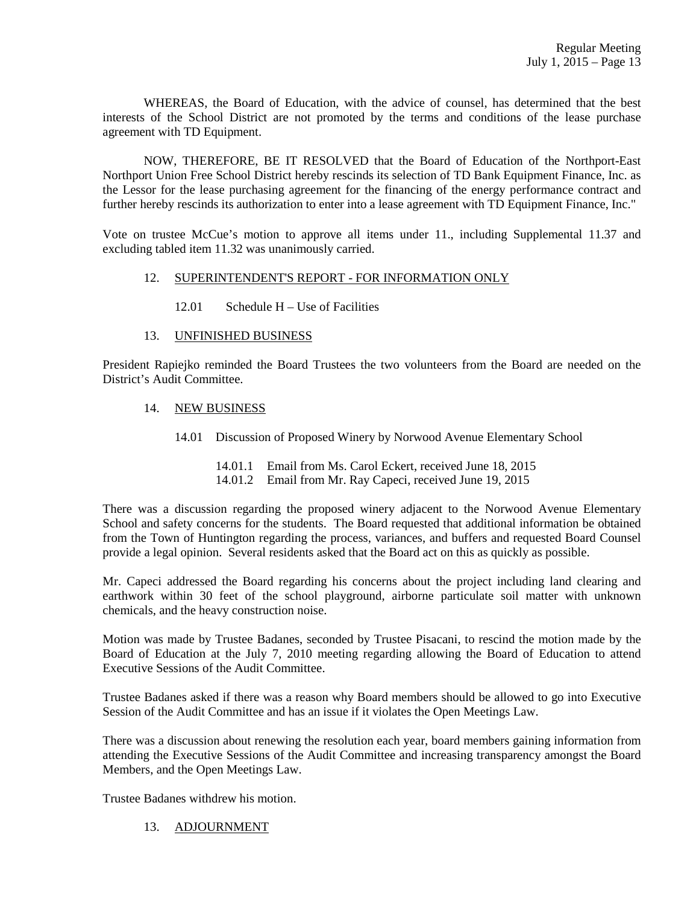WHEREAS, the Board of Education, with the advice of counsel, has determined that the best interests of the School District are not promoted by the terms and conditions of the lease purchase agreement with TD Equipment.

 NOW, THEREFORE, BE IT RESOLVED that the Board of Education of the Northport-East Northport Union Free School District hereby rescinds its selection of TD Bank Equipment Finance, Inc. as the Lessor for the lease purchasing agreement for the financing of the energy performance contract and further hereby rescinds its authorization to enter into a lease agreement with TD Equipment Finance, Inc."

Vote on trustee McCue's motion to approve all items under 11., including Supplemental 11.37 and excluding tabled item 11.32 was unanimously carried.

## 12. SUPERINTENDENT'S REPORT - FOR INFORMATION ONLY

12.01 Schedule H – Use of Facilities

# 13. UNFINISHED BUSINESS

President Rapiejko reminded the Board Trustees the two volunteers from the Board are needed on the District's Audit Committee.

# 14. NEW BUSINESS

14.01 Discussion of Proposed Winery by Norwood Avenue Elementary School

 14.01.1 Email from Ms. Carol Eckert, received June 18, 2015 14.01.2 Email from Mr. Ray Capeci, received June 19, 2015

There was a discussion regarding the proposed winery adjacent to the Norwood Avenue Elementary School and safety concerns for the students. The Board requested that additional information be obtained from the Town of Huntington regarding the process, variances, and buffers and requested Board Counsel provide a legal opinion. Several residents asked that the Board act on this as quickly as possible.

Mr. Capeci addressed the Board regarding his concerns about the project including land clearing and earthwork within 30 feet of the school playground, airborne particulate soil matter with unknown chemicals, and the heavy construction noise.

Motion was made by Trustee Badanes, seconded by Trustee Pisacani, to rescind the motion made by the Board of Education at the July 7, 2010 meeting regarding allowing the Board of Education to attend Executive Sessions of the Audit Committee.

Trustee Badanes asked if there was a reason why Board members should be allowed to go into Executive Session of the Audit Committee and has an issue if it violates the Open Meetings Law.

There was a discussion about renewing the resolution each year, board members gaining information from attending the Executive Sessions of the Audit Committee and increasing transparency amongst the Board Members, and the Open Meetings Law.

Trustee Badanes withdrew his motion.

# 13. ADJOURNMENT